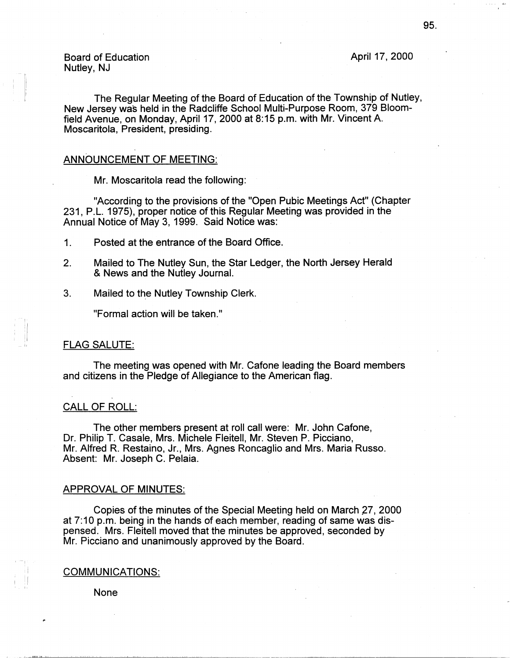Board of Education Nutley, NJ

April 17, 2000

The Regular Meeting of the Board of Education of the Township of Nutley, New Jersey was held in the Radcliffe School Multi-Purpose Room, 379 Bloomfield Avenue, on Monday, April 17, 2000 at 8:15 p.m. with Mr. Vincent A. Moscaritola, President, presiding.

#### ANNOUNCEMENT OF MEETING:

Mr. Moscaritola read the following:

"According to the provisions of the "Open Pubic Meetings Act" (Chapter 231, P.L. 1975), proper notice of this Regular Meeting was provided in the Annual Notice of May 3, 1999. Said Notice was:

- 1. Posted at the entrance of the Board Office.
- 2. Mailed to The Nutley Sun, the Star Ledger, the North Jersey Herald & **News** and the Nutley Journal.
- 3. Mailed to the Nutley Township Clerk.

"Formal action will be taken."

# FLAG SALUTE:

The meeting was opened with Mr. Catone leading the Board members and citizens in the Pledge of Allegiance to the American flag.

## CALL OF ROLL:

The other members present at roll call were: Mr. John Cafone, Dr. Philip T. Casale, Mrs. Michele Fleitell, Mr. Steven P. Picciano, Mr. Alfred R. Restaino, Jr., Mrs. Agnes Roncaglio and Mrs. Maria Russo. Absent: Mr. Joseph C. Pelaia.

#### APPROVAL OF MINUTES:

Copies of the minutes of the Special Meeting held on March 27, 2000 at 7:10 p.m. being in the hands of each member, reading of same was dispensed. Mrs. Fleitell moved that the minutes be approved, seconded by Mr. Picciano and unanimously approved by the Board.

#### **COMMUNICATIONS:**

None

I I I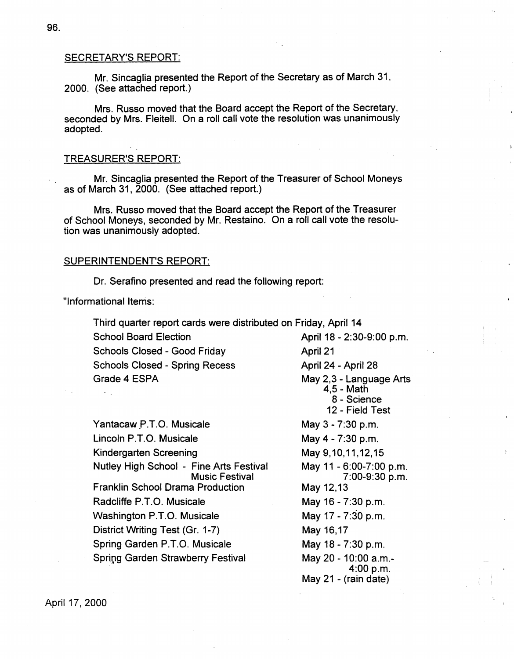## SECRETARY'S REPORT:

Mr. Sincaglia presented the Report of the Secretary as of March 31, 2000. (See attached report.)

Mrs. Russo moved that the Board accept the Report of the Secretary, seconded by Mrs. Fleitell. On a roll call vote the resolution was unanimously adopted.

### TREASURER'S REPORT:

Mr. Sincaglia presented the Report of the Treasurer of School Moneys as of March 31, 2000. (See attached report.)

Mrs. Russo moved that the Board accept the Report of the Treasurer of School Moneys, seconded by Mr. Restaino. On a roll call vote the resolution was unanimously adopted.

### SUPERINTENDENT'S REPORT:

Dr. Serafino presented and read the following report:

"Informational Items:

Third quarter report cards were distributed on Friday, April 14 School Board Election April 18 - 2:30-9:00 p.m. Schools Closed - Good Friday **April 21** Schools Closed - Spring Recess April 24 - April 28 Grade 4 ESPA May 2,3 - Language Arts 4,5 - Math 8 - Science 12 - Field Test Yantacaw P.T.O. Musicale May 3 - 7:30 p.m. Lincoln P.T.O. Musicale Kindergarten Screening Nutley High School - Fine Arts Festival Music Festival Franklin School Drama Production Radcliffe P.T.O. Musicale Washington P.T.O. Musicale District Writing Test (Gr. 1-7) Spring Garden P.T.O. Musicale Spring Garden Strawberry Festival May 4 - 7:30 p.m. May 9,10,11,12,15 May 12,13 May 16 - 7:30 p.m. May 17 - 7:30 p.m. May 16,17 May 18 - 7:30 p.m.

May 11 - 6:00-7:00 p.m. 7:00-9:30 p.m. May 20 - 10:00 a.m.- 4:00 p.m. May 21 - (rain date)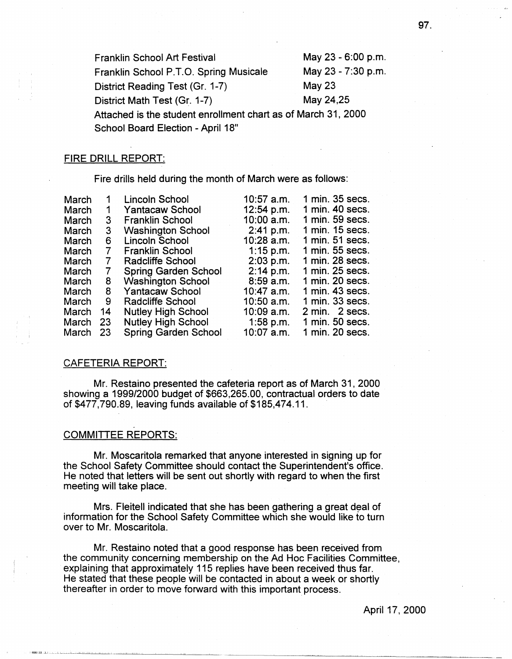Franklin School Art Festival May 23 - 6:00 p.m. Franklin School P.T.O. Spring Musicale May 23 - 7:30 p.m. District Reading Test (Gr. 1-7) May 23 District Math Test (Gr. 1-7) May 24,25 Attached is the student enrollment chart as of March 31, 2000 School Board Election - April 18"

# FIRE DRILL REPORT:

Fire drills held during the month of March were as follows:

| March |    | Lincoln School              | $10:57$ a.m. | 1 min. 35 secs.     |
|-------|----|-----------------------------|--------------|---------------------|
| March | 1  | <b>Yantacaw School</b>      | 12:54 p.m.   | 1 min. 40 secs.     |
| March | 3  | <b>Franklin School</b>      | $10:00$ a.m. | 1 min. 59 secs.     |
| March | 3  | <b>Washington School</b>    | 2:41 p.m.    | 1 min. 15 secs.     |
| March | 6  | Lincoln School              | $10:28$ a.m. | $1$ min. 51 secs.   |
| March | 7  | <b>Franklin School</b>      | $1:15$ p.m.  | 1 min. 55 secs.     |
| March | 7  | Radcliffe School            | $2:03$ p.m.  | 1 min. 28 secs.     |
| March | 7  | <b>Spring Garden School</b> | $2:14$ p.m.  | 1 min. 25 secs.     |
| March | 8  | <b>Washington School</b>    | $8:59$ a.m.  | $1$ min. 20 secs.   |
| March | 8  | <b>Yantacaw School</b>      | $10:47$ a.m. | 1 min. 43 secs.     |
| March | 9  | Radcliffe School            | $10:50$ a.m. | 1 min. 33 secs.     |
| March | 14 | <b>Nutley High School</b>   | $10:09$ a.m. | 2 min. 2 secs.      |
| March | 23 | <b>Nutley High School</b>   | 1:58 p.m.    | $1$ min. $50$ secs. |
| March | 23 | Spring Garden School        | $10:07$ a.m. | 1 min. $20$ secs.   |

## CAFETERIA REPORT:

Mr. Restaino presented the cafeteria report as of March 31, 2000 showing a 1999/2000 budget of \$663,265.00, contractual orders to date of \$477,790.89, leaving funds available of \$185,474.11. ·

# COMMITTEE REPORTS:

Mr. Moscaritola remarked that anyone interested in signing up for the School Safety Committee should contact the Superintendent's office. He noted that letters will be sent out shortly with regard to when the first meeting will take place.

Mrs. Fleitell indicated that she has been gathering a great deal of information for the School Safety Committee which she would like to turn over to Mr. Moscaritola.

Mr. Restaino noted that a good response has been received from the community concerning membership on the Ad Hoc Facilities Committee, explaining that approximately 115 replies have been received thus far. He stated that these people will be contacted in about a week or shortly thereafter in order to move forward with this important process.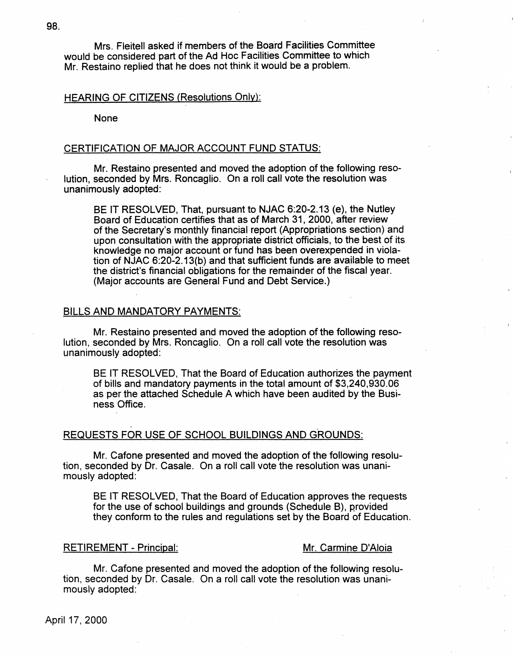Mrs. Fleitell asked if members of the Board Facilities Committee would be considered part of the Ad Hoc Facilities Committee to which Mr. Restaino replied that he does not think it would be a problem.

# HEARING OF CITIZENS (Resolutions Only):

None

### CERTIFICATION OF MAJOR ACCOUNT FUND STATUS:

Mr. Restaino presented and moved the adoption of the following resolution, seconded by Mrs. Roncaglio. On a roll call vote the resolution was unanimously adopted:

BE IT RESOLVED, That, pursuant to **NJAC** 6:20-2.13 **(e),** the Nutley Board of Education certifies that as of March 31, 2000, after review of the Secretary's monthly financial report (Appropriations section) and upon consultation with the appropriate district officials, to the best of its knowledge no major account or fund has been overexpended in violation of NJAC 6:20-2.13(b) and that sufficient funds are available to meet the district's financial obligations for the remainder of the fiscal year. (Major accounts are General Fund and Debt Service.)

# BILLS AND MANDATORY PAYMENTS:

Mr. Restaino presented and moved the adoption of the following resolution, seconded by Mrs. Roncaglio. On a roll call vote the resolution was unanimously adopted:

BE IT RESOLVED, That the Board of Education authorizes the payment of bills and mandatory payments in the total amount of \$3,240,930.06 as per the attached Schedule A which have been audited by the Business Office.

# REQUESTS FOR USE OF SCHOOL BUILDINGS AND GROUNDS:

Mr. Catone presented and moved the adoption of the following resolution, seconded by Dr. Casale. On a roll call vote the resolution was unanimously adopted:

BE IT RESOLVED, That the Board of Education approves the requests for the use of school buildings and grounds (Schedule B), provided they conform to the rules and regulations set by the Board of Education.

# RETIREMENT - Principal: Mr. Carmine D'Aloia

Mr. Catone presented and moved the adoption of the following resolution, seconded by Dr. Casale. On a roll call vote the resolution was unanimously adopted: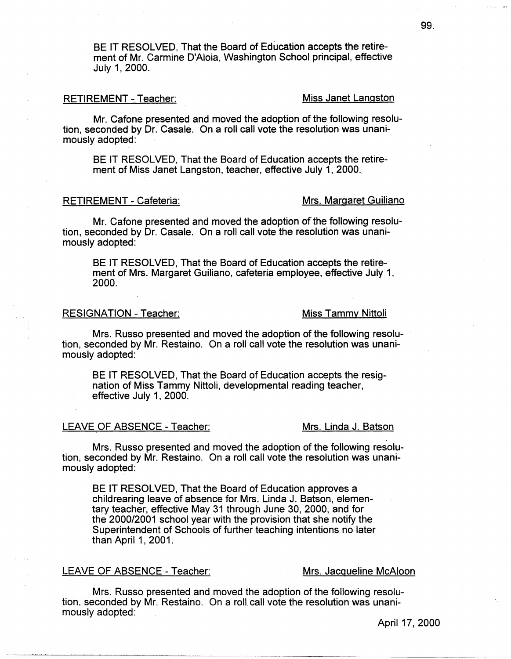BE IT RESOLVED, That the Board of Education accepts the retirement of Mr. Carmine D'Aloia, Washington School principal, effective July 1, 2000.

# RETIREMENT - Teacher: Miss Janet Langston

Mr. Catone presented and moved the adoption of the following resolution, seconded by Dr. Casale. On a roll call vote the resolution was unanimously adopted:

BE IT RESOLVED, That the Board of Education accepts the retirement of Miss Janet Langston, teacher, effective July 1, 2000.

# RETIREMENT - Cafeteria: Mrs. Margaret Guiliano

Mr. Cafone presented and moved the adoption of the following resolution, seconded by Dr. Casale. On a roll call vote the resolution was unanimously adopted:

BE IT RESOLVED, That the Board of Education accepts the retirement of Mrs. Margaret Guiliano, cafeteria employee, effective July 1, 2000.

# RESIGNATION - Teacher: Miss Tammy Nittoli

Mrs. Russo presented and moved the adoption of the following resolution, seconded by Mr. Restaino. On a roll call vote the resolution was unanimously adopted:

BE IT RESOLVED, That the Board of Education accepts the resignation of Miss Tammy Nittoli, developmental reading teacher, effective July 1, 2000.

## LEAVE OF ABSENCE - Teacher: Mrs. Linda J. Batson

Mrs. Russo presented and moved the adoption of the following resolution, seconded by Mr. Restaino. On a roll call vote the resolution was unanimously adopted:

BE IT RESOLVED, That the Board of Education approves a childrearing leave of absence for Mrs. Linda J. Batson, elementary teacher, effective May 31 through June 30, 2000, and for the 2000/2001 school year with the provision that she notify the Superintendent of Schools of further teaching intentions no later than April 1, 2001.

# LEAVE OF ABSENCE - Teacher: Mrs. Jacqueline McAloon

Mrs. Russo presented and moved the adoption of the following resolution, seconded by Mr. Restaino. On a roll. call vote the resolution was unanimously adopted: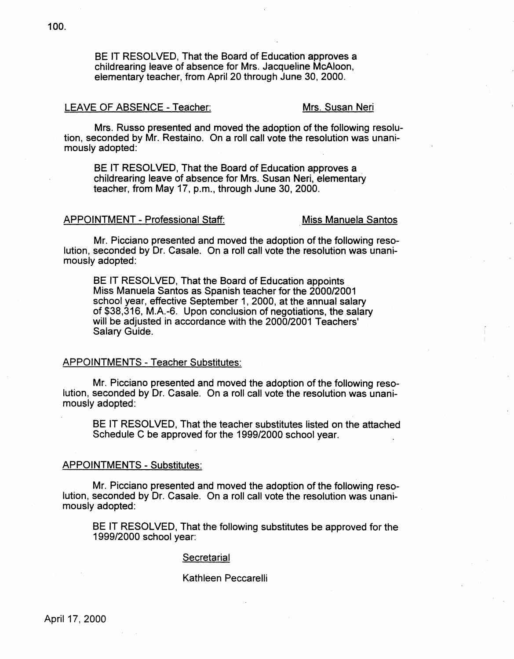BE IT RESOLVED, That the Board of Education approves a childrearing leave of absence for Mrs. Jacqueline McAloon, elementary teacher, from April 20 through June 30, 2000.

# LEAVE OF ABSENCE - Teacher: Mrs. Susan Neri

Mrs. Russo presented and moved the adoption of the following resolution, seconded by Mr. Restaino. On a roll call vote the resolution was unanimously adopted:

BE IT RESOLVED, That the Board of Education approves a childrearing leave of absence for Mrs. Susan Neri, elementary teacher, from May 17, p.m., through June 30, 2000.

## APPOINTMENT - Professional Staff: **Miss** Manuela Santos

Mr. Picciano presented and moved the adoption of the following resolution, seconded by Dr. Casale. On a roll call vote the resolution was unanimously adopted:

BE IT RESOLVED, That the Board of Education appoints Miss Manuela Santos as Spanish teacher for the 2000/2001 school year, effective September 1, 2000, at the annual salary of \$38,316, M.A.-6. Upon conclusion of negotiations, the salary will be adjusted in accordance with the 2000/2001 Teachers' Salary Guide.

## APPOINTMENTS - Teacher Substitutes:

Mr. Picciano presented and moved the adoption of the following resolution, seconded by Dr. Casale. On a roll call vote the resolution was unanimously adopted:

BE IT RESOLVED, That the teacher substitutes listed on the attached Schedule C be approved for the 1999/2000 school year.

#### APPOINTMENTS - Substitutes:

Mr. Picciano presented and moved the adoption of the following resolution, seconded by Dr. Casale. On a roll call vote the resolution was unanimously adopted:

BE IT RESOLVED, That the following substitutes be approved for the 1999/2000 school year:

#### **Secretarial**

### Kathleen Peccarelli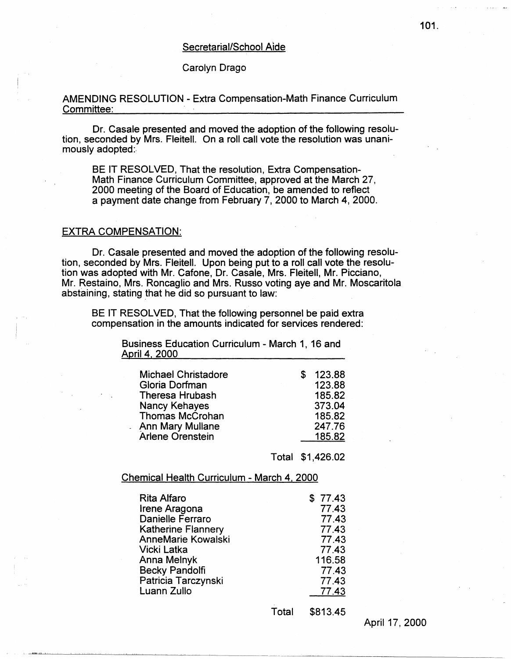## Secretarial/School Aide

# Carolyn Drago

# AMENDING RESOLUTION - Extra Compensation-Math Finance Curriculum Committee:

Dr. Casale presented and moved the adoption of the following resolution, seconded by Mrs. Fleitell. On a roll call vote the resolution was unanimously adopted:

BE IT RESOLVED, That the resolution, Extra Compensation-Math Finance Curriculum Committee, approved at the March 27, 2000 meeting of the Board of Education, be amended to reflect a payment date change from February 7, 2000 to March 4, 2000.

# EXTRA COMPENSATION:

Dr. Casale presented and moved the adoption of the following resolution, seconded by Mrs. Fleitell. Upon being put to a roll call vote the resolution was adopted with Mr. Catone, Dr. Casale, Mrs. Fleitell, Mr. Picciano, Mr. Restaino, Mrs. Roncaglio and Mrs. Russo voting aye and Mr. Moscaritola abstaining, stating that he did so pursuant to law:

BE IT RESOLVED, That the following personnel be paid extra compensation in the amounts indicated for services rendered:

> Business Education Curriculum - March 1, 16 and April 4, 2000

| <b>Michael Christadore</b> | S | 123.88 |
|----------------------------|---|--------|
| Gloria Dorfman             |   | 123.88 |
| Theresa Hrubash            |   | 185.82 |
| Nancy Kehayes              |   | 373.04 |
| <b>Thomas McCrohan</b>     |   | 185.82 |
| Ann Mary Mullane           |   | 247.76 |
| Arlene Orenstein           |   | 185.82 |

Total \$1,426.02

### Chemical Health Curriculum - March 4, 2000

| <b>Rita Alfaro</b>        | \$77.43 |
|---------------------------|---------|
| Irene Aragona             | 77.43   |
| Danielle Ferraro          | 77.43   |
| <b>Katherine Flannery</b> | 77.43   |
| <b>AnneMarie Kowalski</b> | 77.43   |
| Vicki Latka               | 77.43   |
| Anna Melnyk               | 116.58  |
| <b>Becky Pandolfi</b>     | 77.43   |
| Patricia Tarczynski       | 77.43   |
| Luann Zullo               | 77.43   |
|                           |         |

Total \$813.45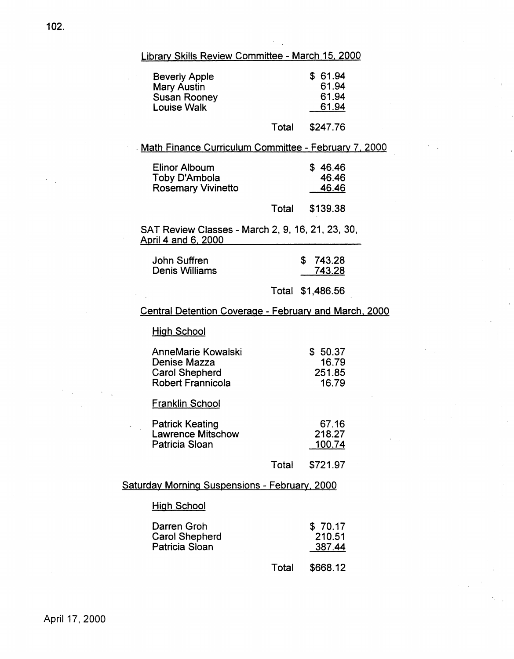# Library Skills Review Committee - March 15, 2000

| <b>Beverly Apple</b><br><b>Mary Austin</b><br><b>Susan Rooney</b><br><b>Louise Walk</b> |       | \$61.94<br>61.94<br>61.94<br>61.94 |
|-----------------------------------------------------------------------------------------|-------|------------------------------------|
|                                                                                         | Total | \$247.76                           |

# . Math Finance Curriculum Committee - February 7, 2000

| Elinor Alboum             | \$46.46 |
|---------------------------|---------|
| Toby D'Ambola             | 46.46   |
| <b>Rosemary Vivinetto</b> | 46.46   |
|                           |         |

Total \$139.38

SAT Review Classes - March 2, 9, 16, 21, 23, 30, April 4 and 6, 2000

| John Suffren   | \$743.28 |
|----------------|----------|
| Denis Williams | 743.28   |

# Total \$1,486.56

# Central Detention Coverage - February and March, 2000

# **High School**

| <b>AnneMarie Kowalski</b> | \$50.37 |
|---------------------------|---------|
| Denise Mazza              | 16.79   |
| Carol Shepherd            | 251.85  |
| Robert Frannicola         | 16.79   |

# Franklin School

| <b>Patrick Keating</b>   | 67.16  |
|--------------------------|--------|
| <b>Lawrence Mitschow</b> | 218.27 |
| Patricia Sloan           | 100.74 |

Total \$721.97

# Saturday Morning Suspensions - February, 2000

# **High School**

| Darren Groh           | \$70.17 |
|-----------------------|---------|
| <b>Carol Shepherd</b> | 210.51  |
| Patricia Sloan        | 387.44  |

Total \$668.12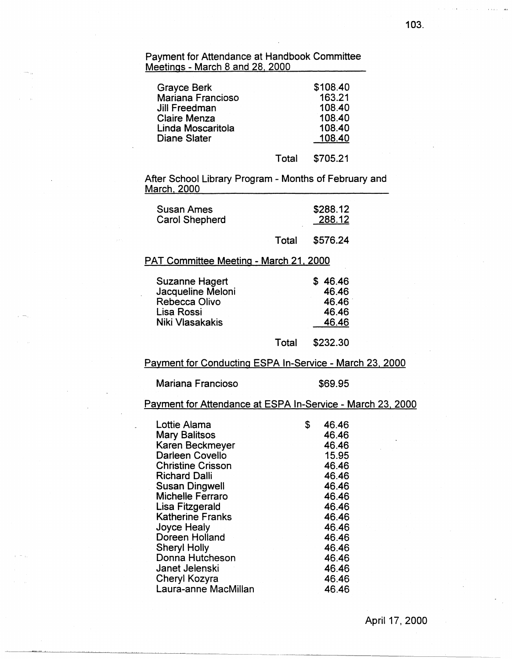Payment for Attendance at Handbook Committee Meetings - March 8 and 28, 2000

| <b>Grayce Berk</b>  |       | \$108.40 |
|---------------------|-------|----------|
| Mariana Francioso   |       | 163.21   |
| Jill Freedman       |       | 108.40   |
| <b>Claire Menza</b> |       | 108.40   |
| Linda Moscaritola   |       | 108.40   |
| Diane Slater        |       | 108.40   |
|                     | Total | \$705.21 |

After School Library Program - Months of February and March, 2000

| Susan Ames     |       | \$288.12 |
|----------------|-------|----------|
| Carol Shepherd |       | 288.12   |
|                | Total | \$576.24 |

# PAT Committee Meeting - March 21, 2000

| Suzanne Hagert    |       | \$46.46  |
|-------------------|-------|----------|
| Jacqueline Meloni |       | 46.46    |
| Rebecca Olivo     |       | 46.46    |
| Lisa Rossi        |       | 46.46    |
| Niki Vlasakakis   |       | 46.46    |
|                   | Total | \$232.30 |

# Payment for Conducting ESPA In-Service - March 23, 2000

Mariana Francioso **\$69.95** 

# Payment for Attendance at ESPA In-Service - March 23, 2000

| Lottie Alama             | \$<br>46.46 |
|--------------------------|-------------|
| <b>Mary Balitsos</b>     | 46.46       |
| Karen Beckmeyer          | 46.46       |
| Darleen Covello          | 15.95       |
| <b>Christine Crisson</b> | 46.46       |
| <b>Richard Dalli</b>     | 46.46       |
| <b>Susan Dingwell</b>    | 46.46       |
| <b>Michelle Ferraro</b>  | 46.46       |
| Lisa Fitzgerald          | 46.46       |
| <b>Katherine Franks</b>  | 46.46       |
| Joyce Healy              | 46.46       |
| Doreen Holland           | 46.46       |
| <b>Sheryl Holly</b>      | 46.46       |
| Donna Hutcheson          | 46.46       |
| Janet Jelenski           | 46.46       |
| Cheryl Kozyra            | 46.46       |
| Laura-anne MacMillan     | 46.46       |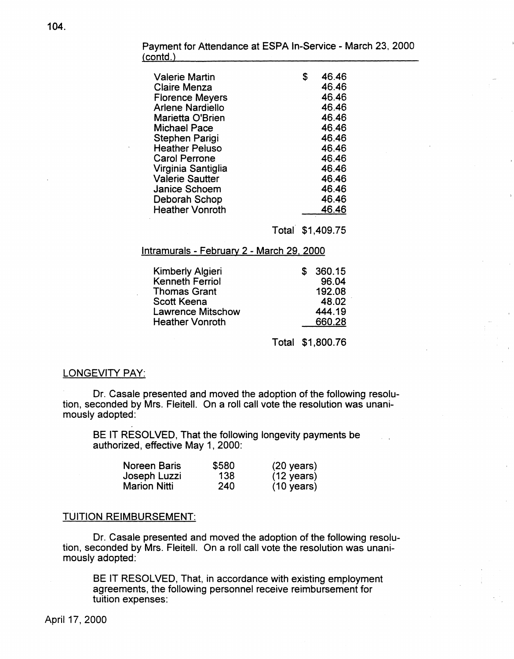| Valerie Martin<br>Claire Menza<br><b>Florence Meyers</b><br><b>Arlene Nardiello</b><br>Marietta O'Brien<br><b>Michael Pace</b><br>Stephen Parigi<br><b>Heather Peluso</b><br><b>Carol Perrone</b><br>Virginia Santiglia<br><b>Valerie Sautter</b><br><b>Janice Schoem</b><br>Deborah Schop | \$<br>46.46<br>46.46<br>46.46<br>46.46<br>46.46<br>46.46<br>46.46<br>46.46<br>46.46<br>46.46<br>46.46<br>46.46<br>46.46 |
|--------------------------------------------------------------------------------------------------------------------------------------------------------------------------------------------------------------------------------------------------------------------------------------------|-------------------------------------------------------------------------------------------------------------------------|
| <b>Heather Vonroth</b>                                                                                                                                                                                                                                                                     | 46.46                                                                                                                   |

Payment for Attendance at ESPA In-Service - March 23, 2000  $(contd.)$ 

Total \$1,409.75

# lntramurals - February 2 - March 29, 2000

| Kimberly Algieri         | S. | 360.15 |
|--------------------------|----|--------|
| Kenneth Ferriol          |    | 96.04  |
| <b>Thomas Grant</b>      |    | 192.08 |
| <b>Scott Keena</b>       |    | 48.02  |
| <b>Lawrence Mitschow</b> |    | 444.19 |
| <b>Heather Vonroth</b>   |    | 660.28 |

Total \$1,800.76

# LONGEVITY PAY:

Dr. Casale presented and moved the adoption of the following resolution, seconded by Mrs. Fleitell. On a roll call vote the resolution was unanimously adopted:

BE IT RESOLVED, That the following longevity payments be authorized, effective May 1, 2000:

| Noreen Baris | \$580 | $(20 \text{ years})$ |
|--------------|-------|----------------------|
| Joseph Luzzi | 138   | $(12 \text{ years})$ |
| Marion Nitti | 240   | $(10 \text{ years})$ |

# TUITION REIMBURSEMENT:

Dr. Casale presented and moved the adoption of the following resolution, seconded by Mrs. Fleitell. On a roll call vote the resolution was unanimously adopted:

BE IT RESOLVED, That, in accordance with existing employment agreements, the following personnel receive reimbursement for tuition expenses: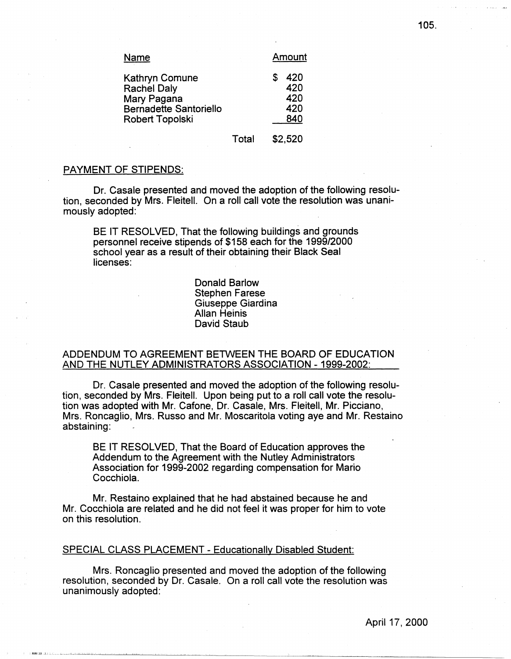| <u>Name</u>                                                                                                    | Amount                          |
|----------------------------------------------------------------------------------------------------------------|---------------------------------|
| Kathryn Comune<br><b>Rachel Daly</b><br>Mary Pagana<br><b>Bernadette Santoriello</b><br><b>Robert Topolski</b> | 420<br>420<br>420<br>420<br>840 |
|                                                                                                                |                                 |

PAYMENT OF STIPENDS:

Dr. Casale presented and moved the adoption of the following resolution, seconded by Mrs. Fleitell. On a roll call vote the resolution was unanimously adopted:

Total

\$2,520

BE IT RESOLVED, That the following buildings and grounds personnel receive stipends of \$158 each for the 1999/2000 school year as a result of their obtaining their Black Seal licenses:

> Donald Barlow Stephen Farese Giuseppe Giardina Allan Heinis David Staub

# ADDENDUM TO AGREEMENT BETWEEN THE BOARD OF EDUCATION AND THE NUTLEY ADMINISTRATORS ASSOCIATION -1999-2002:

Dr. Casale presented and moved the adoption of the following resolution, seconded by Mrs. Fleitell. Upon being put to a roll call vote the resolution was adopted with Mr. Catone, Dr. Casale, Mrs. Fleitell, Mr. Picciano, Mrs. Roncaglio, Mrs. Russo and Mr. Moscaritola voting aye and Mr. Restaino abstaining:

BE IT RESOLVED, That the Board of Education approves the Addendum to the Agreement with the Nutley Administrators Association for 1999-2002 regarding compensation for Mario Cocchiola.

Mr. Restaino explained that he had abstained because he and Mr. Cocchiola are related and he did not feel it was proper for him to vote on this resolution.

# SPECIAL CLASS PLACEMENT - Educationally Disabled Student:

Mrs. Roncaglio presented and moved the adoption of the following resolution, seconded by Dr. Casale. On a roll call vote the resolution was unanimously adopted: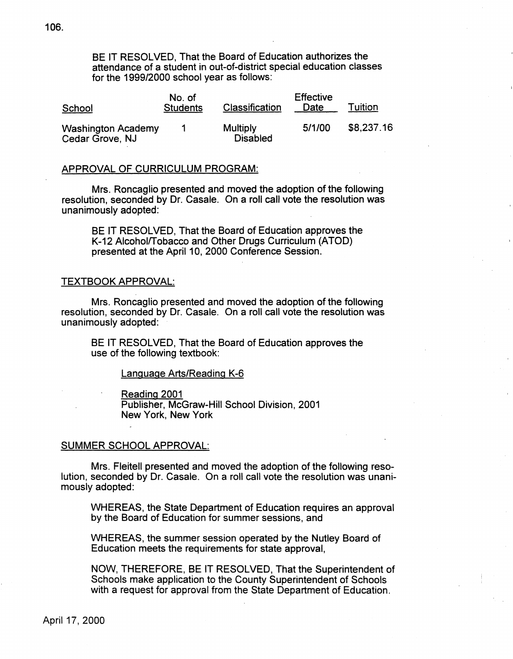BE IT RESOLVED, That the Board of Education authorizes the attendance of a student in out-of-district special education classes for the 1999/2000 school year as follows:

| School                                       | No. of<br><b>Students</b> | Classification              | <b>Effective</b><br>Date | Tuition    |
|----------------------------------------------|---------------------------|-----------------------------|--------------------------|------------|
| <b>Washington Academy</b><br>Cedar Grove, NJ |                           | Multiply<br><b>Disabled</b> | 5/1/00                   | \$8,237.16 |

## APPROVAL OF CURRICULUM PROGRAM:

Mrs. Roncaglio presented and moved the adoption of the following resolution, seconded by Dr. Casale. On a roll call vote the resolution was unanimously adopted:

BE IT RESOLVED, That the Board of Education approves the K-12 Alcohol/Tobacco and Other Drugs Curriculum (ATOD) presented at the April 10, 2000 Conference Session.

# TEXTBOOK APPROVAL:

Mrs. Roncaglio presented and moved the adoption of the following resolution, seconded by Dr. Casale. On a roll call vote the resolution was unanimously adopted:

BE IT RESOLVED, That the Board of Education approves the use of the following textbook:

## Language Arts/Reading K-6

Reading 2001

Publisher, McGraw-Hill School Division, 2001 New York, New York

## SUMMER SCHOOL APPROVAL:

Mrs. Fleitell presented and moved the adoption of the following resolution, seconded by Dr. Casale. On a roll call vote the resolution was unanimously adopted:

WHEREAS, the State Department of Education requires an approval by the Board of Education for summer sessions, and

WHEREAS, the summer session operated by the Nutley Board of Education meets the requirements for state approval,

NOW, THEREFORE, BE IT RESOLVED, That the Superintendent of Schools make application to the County Superintendent of Schools with a request for approval from the State Department of Education.

106.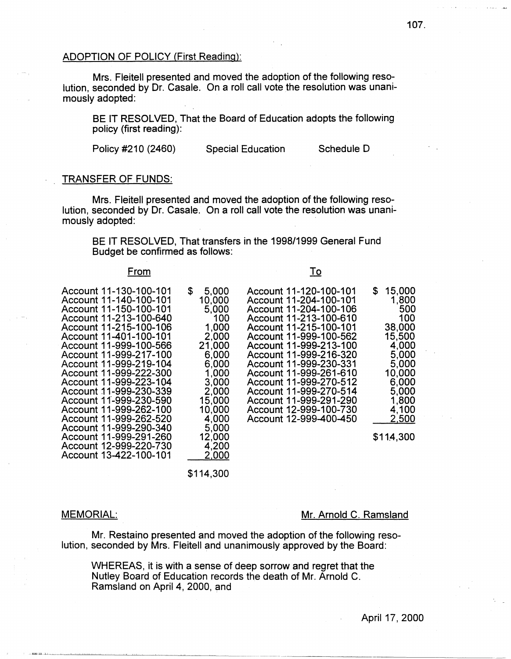# ADOPTION OF POLICY (First Reading):

Mrs. Fleitell presented and moved the adoption of the following resolution, seconded by Dr. Casale. On a roll call vote the resolution was unanimously adopted:

BE IT RESOLVED, That the Board of Education adopts the following policy (first reading):

Policy #210 (2460) Special Education Schedule D

## TRANSFER OF FUNDS:

Mrs. Fleitell presented and moved the adoption of the following resolution, seconded by Dr. Casale. On a roll call vote the resolution was unanimously adopted:

BE IT RESOLVED, That transfers in the 1998/1999 General Fund Budget be confirmed as follows:

# From

Account 11-130-100-101 Account 11-140-100-101 Account 11-150-100-101 Account 11-213-100-640 Account 11-215-100-106 Account 11-401-100-101 Account 11-999-100-566 Account 11-999-217-100 Account 11-999-219-104 Account 11-999-222-300 Account 11-999-223-104 Account 11-999-230-339 Account 11·-999-230-590 Account 11-999-262-100 Account 11-999-262-520 Account 11-999-290-340 Account 11-999-291-260 Account 12-999-220-730 Account 13-422-100-101 2,000

\$114,300

#### MEMORIAL:

1000 111 111

#### Mr. Arnold C. Ramsland

Mr. Restaino presented and moved the adoption of the following resolution, seconded by Mrs. Fleitell and unanimously approved by the Board:

WHEREAS, it is with a sense of deep sorrow and regret that the Nutley Board of Education records the death of Mr. Arnold C. Ramsland on April 4, 2000, and

|                                                                                                                                                                         | To                                                                                                                                                                                                                                                                                                                                                                                                 |                                                                                                                                                        |
|-------------------------------------------------------------------------------------------------------------------------------------------------------------------------|----------------------------------------------------------------------------------------------------------------------------------------------------------------------------------------------------------------------------------------------------------------------------------------------------------------------------------------------------------------------------------------------------|--------------------------------------------------------------------------------------------------------------------------------------------------------|
| \$<br>5,000<br>10,000<br>5,000<br>100<br>1,000<br>2.000<br>21,000<br>6,000<br>6.000<br>1,000<br>3,000<br>2,000<br>15,000<br>10,000<br>4,000<br>5,000<br>12,000<br>4,200 | Account 11-120-100-101<br>Account 11-204-100-101<br>Account 11-204-100-106<br>Account 11-213-100-610<br>Account 11-215-100-101<br>Account 11-999-100-562<br>Account 11-999-213-100<br>Account 11-999-216-320<br>Account 11-999-230-331<br>Account 11-999-261-610<br>Account 11-999-270-512<br>Account 11-999-270-514<br>Account 11-999-291-290<br>Account 12-999-100-730<br>Account 12-999-400-450 | \$<br>15,000<br>1,800<br>500<br>100<br>38,000<br>15,500<br>4,000<br>5,000<br>5,000<br>10,000<br>6,000<br>5,000<br>1,800<br>4,100<br>2.500<br>\$114,300 |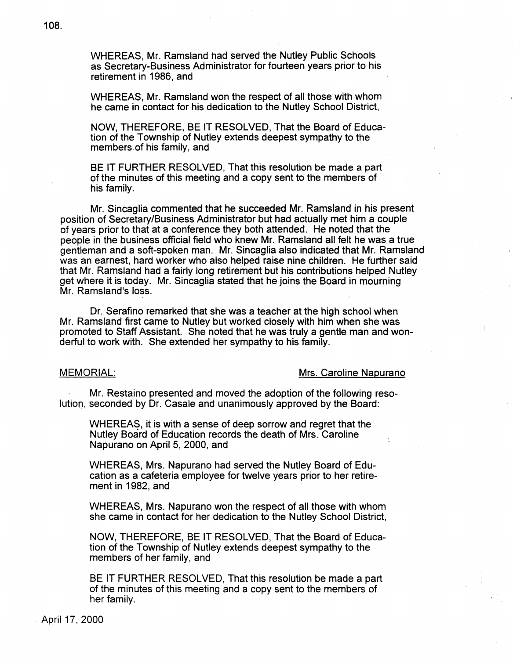WHEREAS, Mr. Ramsland had served the Nutley Public Schools as Secretary-Business Administrator for fourteen years prior to his retirement in 1986, and

WHEREAS, Mr. Ramsland won the respect of all those with whom he came in contact for his dedication to the Nutley School District,

NOW, THEREFORE, BE IT RESOLVED, That the Board of Education of the Township of Nutley extends deepest sympathy to the members.of his family, and

BE IT FURTHER RESOLVED, That this resolution be made a part of the minutes of this meeting and a copy sent to the members of his family.

Mr. Sincaglia commented that he succeeded Mr. Ramsland in his present position of Secretary/Business Administrator but had actually met him a couple of years prior to that at a conference they both attended. He noted that the people in the business official field who knew Mr. Ramsland all felt he was a true gentleman and a soft-spoken man. Mr. Sincaglia also indicated that Mr. Ramsland was an earnest, hard worker who also helped raise nine children. He further said that Mr. Ramsland had a fairly long retirement but his contributions helped Nutley get where it is today. Mr. Sincaglia stated that he joins the Board in mourning Mr. Ramsland's loss.

Dr. Serafino remarked that she was a teacher at the high school when Mr. Ramsland first came to Nutley but worked closely with him when she was promoted to Staff Assistant. She noted that he was truly a gentle man and wonderful to work with. She extended her sympathy to his family.

# MEMORIAL: MEMORIAL:

 $\bullet$ 

Mr. Restaino presented and moved the adoption of the following resolutior,, seconded by Dr. Casale and unanimously approved by the Board:

WHEREAS, it is with a sense of deep sorrow and regret that the Nutley Board of Education records the death of Mrs. Caroline Napurano on April 5, 2000, and

WHEREAS, Mrs. Napurano had served the Nutley Board of Education as a cafeteria employee for twelve years prior to her retirement in 1982, and

WHEREAS, Mrs. Napurano won the respect of all those with whom she came in contact for her dedication to the Nutley School District,

NOW, THEREFORE, BE IT RESOLVED, That the Board of Education of the Township of Nutley extends deepest sympathy to the members of her family, and

BE IT FURTHER RESOLVED, That this resolution be made a part of the minutes of this meeting and a copy sent to the members of her family.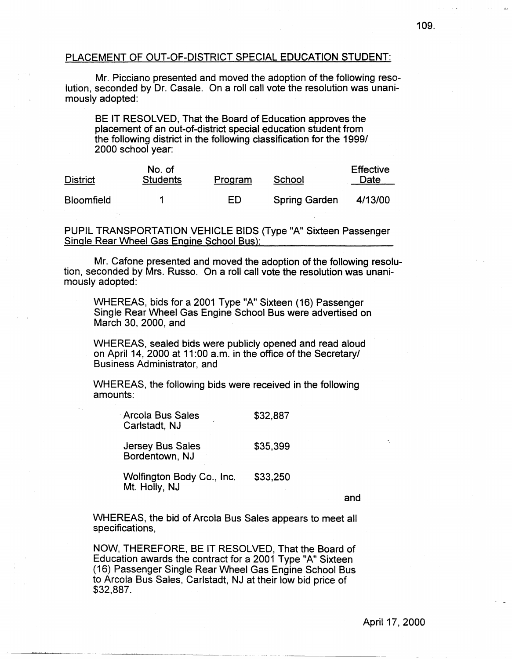# PLACEMENT OF OUT-OF-DISTRICT SPECIAL EDUCATION STUDENT:

Mr. Picciano presented and moved the adoption of the following resolution, seconded by Dr. Casale. On a roll call vote the resolution was unanimously adopted:

BE IT RESOLVED, That the Board of Education approves the placement of an out-of-district special education student from the following district in the following classification for the 1999/ 2000 school year:

| <b>District</b>   | No. of<br><b>Students</b> | Program | School               | <b>Effective</b><br>Date |
|-------------------|---------------------------|---------|----------------------|--------------------------|
| <b>Bloomfield</b> |                           | ED      | <b>Spring Garden</b> | 4/13/00                  |

PUPIL TRANSPORTATION VEHICLE BIDS (Type "A" Sixteen Passenger Single Rear Wheel Gas Engine School Bus):

Mr. Catone presented and moved the adoption of the following resolution, seconded by Mrs. Russo. On a roll call vote the resolution was unanimously adopted:

WHEREAS, bids for a 2001 Type "A" Sixteen (16) Passenger Single Rear Wheel Gas Engine School Bus were advertised on March 30, 2000, and

WHEREAS, sealed bids were publicly opened and read aloud on April 14, 2000 at 11 :00 a.m. in the office of the Secretary/ Business Administrator, and

WHEREAS, the following bids were received in the following amounts:

| <b>Arcola Bus Sales</b><br>Carlstadt, NJ   | \$32,887 |
|--------------------------------------------|----------|
| <b>Jersey Bus Sales</b><br>Bordentown, NJ  | \$35,399 |
| Wolfington Body Co., Inc.<br>Mt. Holly, NJ | \$33,250 |

and

WHEREAS, the bid of Arcola Bus Sales appears to meet all specifications,

NOW, THEREFORE, BE IT RESOLVED, That the Board of Education awards the contract for a 2001 Type "A" Sixteen (16) Passenger Single Rear Wheel Gas Engine School Bus to Arcola Bus Sales, Carlstadt, NJ at their low bid price of \$32,887.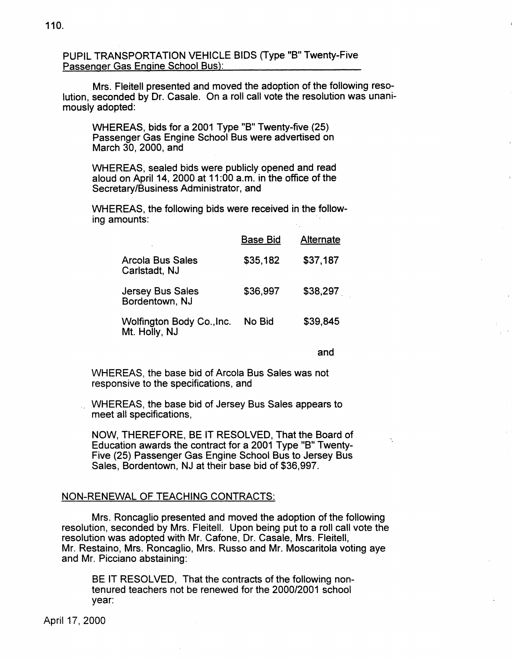PUPIL TRANSPORTATION VEHICLE BIDS (Type "B" Twenty-Five Passenger Gas Engine School Bus):

Mrs. Fleitell presented and moved the adoption of the following resolution, seconded by Dr. Casale. On a roll call vote the resolution was unanimously adopted:

WHEREAS, bids for a 2001 Type "B" Twenty-five (25) Passenger Gas Engine School Bus were advertised on March 30, 2000, and

WHEREAS, sealed bids were publicly opened and read aloud on April 14, 2000 at 11 :00 a.m. in the office of the Secretary/Business Administrator, and

WHEREAS, the following bids were received in the following amounts:

|                                            | <b>Base Bid</b> | Alternate |
|--------------------------------------------|-----------------|-----------|
| <b>Arcola Bus Sales</b><br>Carlstadt, NJ   | \$35,182        | \$37,187  |
| <b>Jersey Bus Sales</b><br>Bordentown, NJ  | \$36,997        | \$38,297  |
| Wolfington Body Co., Inc.<br>Mt. Holly, NJ | No Bid          | \$39.845  |

and

WHEREAS, the base bid of Arcola Bus Sales was not responsive to the specifications, and

WHEREAS, the base bid of Jersey Bus Sales appears to meet all specifications,

NOW, THEREFORE, BE IT RESOLVED, That the Board of Education awards the contract for a 2001 Type "B" Twenty-Five (25) Passenger Gas Engine School Bus to Jersey Bus Sales, Bordentown, NJ at their base bid of \$36,997.

# NON-RENEWAL OF TEACHING CONTRACTS:

Mrs. Roncaglio presented and moved the adoption of the following resolution, seconded by Mrs. Fleitell. Upon being put to a roll call vote the resolution was adopted with Mr. Catone, Dr. Casale, Mrs. Fleitell, Mr. Restaino, Mrs. Roncaglio, Mrs. Russo and Mr. Moscaritola voting aye and Mr. Picciano abstaining:

BE IT RESOLVED, That the contracts of the following nontenured teachers not be renewed for the 2000/2001 school year:

April 17, 2000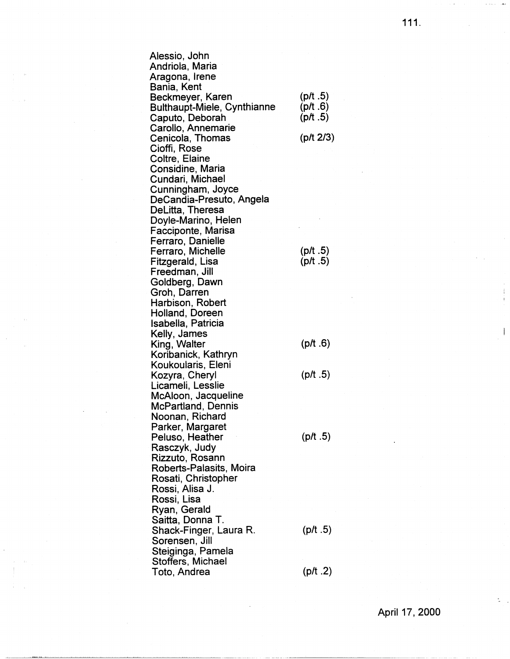Alessio, John Andriola, Maria Aragona, Irene Bania, Kent Beckmeyer, Karen Bulthaupt-Miele, Cynthianne Caputo, Deborah Carollo, Annemarie Cenicola, Thomas Cioffi, Rose Coltre, Elaine Considine, Maria Cundari, Michael Cunningham, Joyce DeCandia-Presuto, Angela DeLitta, Theresa Doyle-Marino, Helen Facciponte, Marisa Ferraro, Danielle Ferraro, Michelle Fitzgerald, Lisa Freedman, Jill Goldberg, Dawn Groh, Darren Harbison, Robert Holland, Doreen Isabella, Patricia Kelly, James King, Walter Koribanick, Kathryn Koukoularis, Eleni Kozyra, Cheryl Licameli, Lesslie McAloon, Jacqueline McPartland, Dennis Noonan, Richard Parker, Margaret Peluso, Heather Rasczyk, Judy Rizzuto, Rosann Roberts-Palasits, Moira Rosati, Christopher Rossi, Alisa J. Rossi, Lisa Ryan, Gerald Saitta, Donna T. Shack-Finger, Laura R. Sorensen, Jill Steiginga, Pamela Stoffers, Michael Toto, Andrea  $($ p/t  $.5)$  $($ p/ $t.6)$  $(pt.5)$ (pit **2/3)**   $($ p/ $t.5)$ (p/t .5)  $($ p/ $t.6)$  $($ p/ $t.5)$  $($ p/t  $.5)$  $(pt.5)$  $(pt.2)$ 

111.

April 17, 2000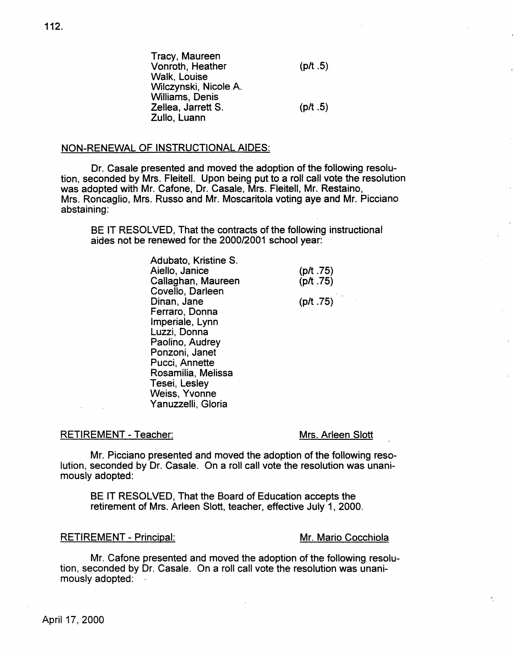Tracy, Maureen Vonroth, Heather Walk, Louise Wilczynski, Nicole A. Williams, Denis Zellea, Jarrett S.

 $($ p/t  $.5)$ 

# $(pt.5)$

## NON-RENEWAL OF INSTRUCTIONAL AIDES:

Zullo, Luann

Dr. Casale presented and moved the adoption of the following resolution, seconded by Mrs. Fleitell. Upon being put to a roll call vote the resolution was adopted with Mr. Catone, Dr. Casale, Mrs. Fleitell, Mr. Restaino, Mrs. Roncaglio, Mrs. Russo and Mr. Moscaritola voting aye and Mr. Picciano abstaining:

BE IT RESOLVED, That the contracts of the following instructional aides not be renewed for the 2000/2001 school year:

> Adubato, Kristine S. Aiello, Janice Callaghan, Maureen Covello, Darleen Dinan, Jane Ferraro, Donna lmperiale, Lynn Luzzi, Donna Paolino, Audrey Ponzoni, Janet Pucci, Annette Rosamilia, Melissa Tesei, Lesley Weiss, Yvonne Yanuzzelli, Gloria

(p/t .75)  $($ p/ $t.75)$ 

(p/t .75)

#### RETIREMENT - Teacher:

## Mrs. Arleen Slott

Mr. Picciano presented and moved the adoption of the following resolution, seconded by Dr. Casale. On a roll call vote the resolution was unanimously adopted:

BE IT RESOLVED, That the Board of Education accepts the retirement of Mrs. Arleen Slott, teacher, effective July 1, 2000.

## RETIREMENT - Principal: Mr. Mario Cocchiola

Mr. Catone presented and moved the adoption of the following resolution, seconded by Dr. Casale. On a roll call vote the resolution was unanimously adopted: